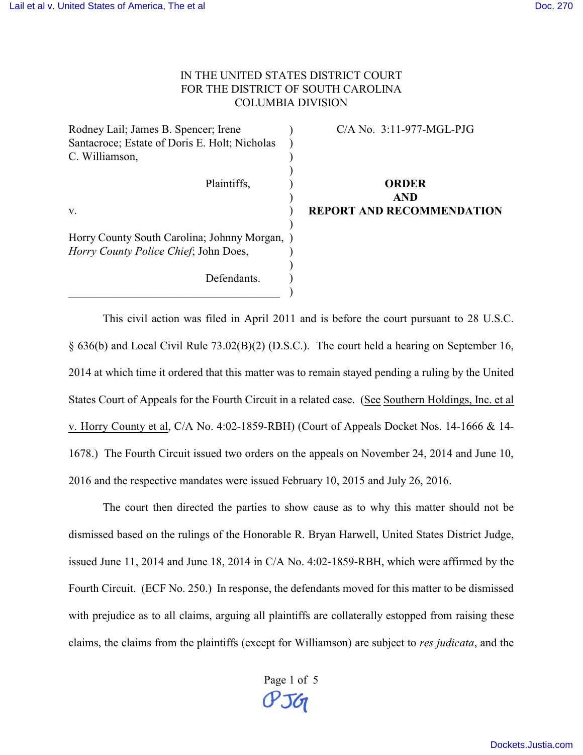## IN THE UNITED STATES DISTRICT COURT FOR THE DISTRICT OF SOUTH CAROLINA COLUMBIA DIVISION

Rodney Lail; James B. Spencer; Irene Santacroce; Estate of Doris E. Holt; Nicholas C. Williamson, Plaintiffs, v. Horry County South Carolina; Johnny Morgan, ) *Horry County Police Chief*; John Does, Defendants. \_\_\_\_\_\_\_\_\_\_\_\_\_\_\_\_\_\_\_\_\_\_\_\_\_\_\_\_\_\_\_\_\_\_\_\_\_ ) ) ) ) ) ) ) ) ) ) ) ) C/A No. 3:11-977-MGL-PJG **ORDER AND REPORT AND RECOMMENDATION**

This civil action was filed in April 2011 and is before the court pursuant to 28 U.S.C. § 636(b) and Local Civil Rule 73.02(B)(2) (D.S.C.). The court held a hearing on September 16, 2014 at which time it ordered that this matter was to remain stayed pending a ruling by the United States Court of Appeals for the Fourth Circuit in a related case. (See Southern Holdings, Inc. et al v. Horry County et al, C/A No. 4:02-1859-RBH) (Court of Appeals Docket Nos. 14-1666 & 14- 1678.) The Fourth Circuit issued two orders on the appeals on November 24, 2014 and June 10, 2016 and the respective mandates were issued February 10, 2015 and July 26, 2016.

The court then directed the parties to show cause as to why this matter should not be dismissed based on the rulings of the Honorable R. Bryan Harwell, United States District Judge, issued June 11, 2014 and June 18, 2014 in C/A No. 4:02-1859-RBH, which were affirmed by the Fourth Circuit. (ECF No. 250.) In response, the defendants moved for this matter to be dismissed with prejudice as to all claims, arguing all plaintiffs are collaterally estopped from raising these claims, the claims from the plaintiffs (except for Williamson) are subject to *res judicata*, and the

> Page 1 of 5 PJG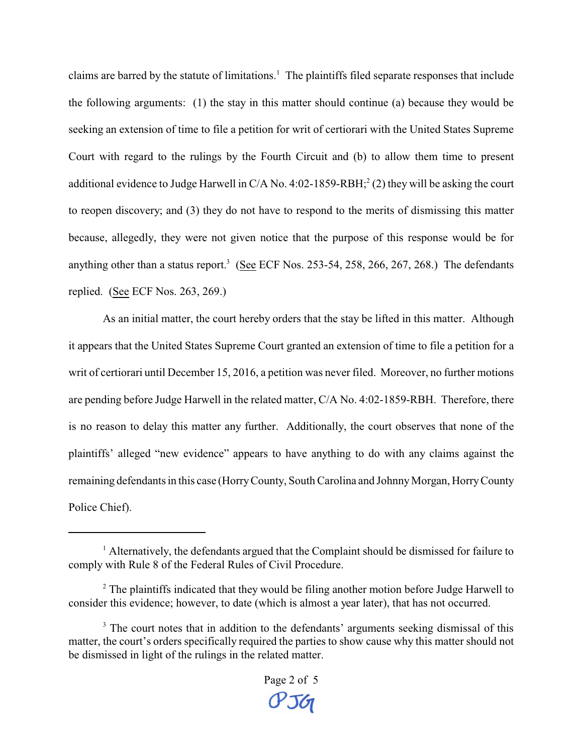claims are barred by the statute of limitations.<sup>1</sup> The plaintiffs filed separate responses that include the following arguments: (1) the stay in this matter should continue (a) because they would be seeking an extension of time to file a petition for writ of certiorari with the United States Supreme Court with regard to the rulings by the Fourth Circuit and (b) to allow them time to present additional evidence to Judge Harwell in  $C/A$  No. 4:02-1859-RBH;<sup>2</sup> (2) they will be asking the court to reopen discovery; and (3) they do not have to respond to the merits of dismissing this matter because, allegedly, they were not given notice that the purpose of this response would be for anything other than a status report.<sup>3</sup> (See ECF Nos. 253-54, 258, 266, 267, 268.) The defendants replied. (See ECF Nos. 263, 269.)

As an initial matter, the court hereby orders that the stay be lifted in this matter. Although it appears that the United States Supreme Court granted an extension of time to file a petition for a writ of certiorari until December 15, 2016, a petition was never filed. Moreover, no further motions are pending before Judge Harwell in the related matter, C/A No. 4:02-1859-RBH. Therefore, there is no reason to delay this matter any further. Additionally, the court observes that none of the plaintiffs' alleged "new evidence" appears to have anything to do with any claims against the remaining defendants in this case (Horry County, South Carolina and Johnny Morgan, Horry County Police Chief).

<sup>&</sup>lt;sup>1</sup> Alternatively, the defendants argued that the Complaint should be dismissed for failure to comply with Rule 8 of the Federal Rules of Civil Procedure.

 $2^2$  The plaintiffs indicated that they would be filing another motion before Judge Harwell to consider this evidence; however, to date (which is almost a year later), that has not occurred.

<sup>&</sup>lt;sup>3</sup> The court notes that in addition to the defendants' arguments seeking dismissal of this matter, the court's orders specifically required the parties to show cause why this matter should not be dismissed in light of the rulings in the related matter.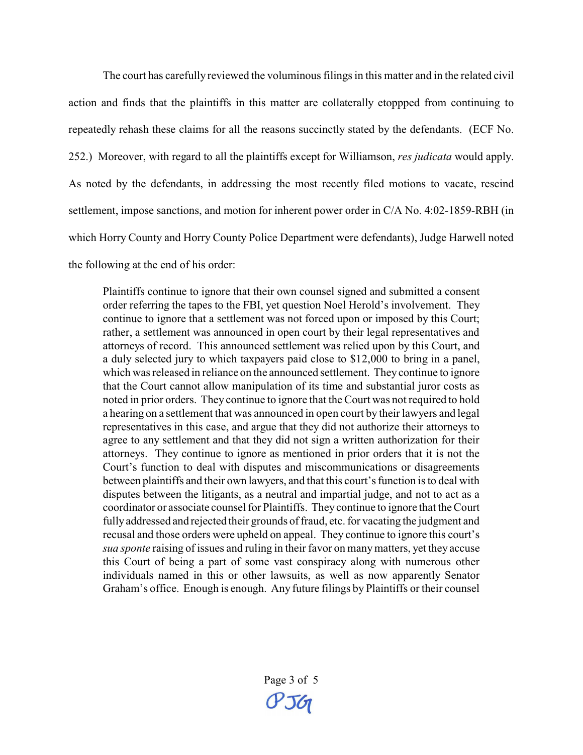The court has carefully reviewed the voluminous filings in this matter and in the related civil action and finds that the plaintiffs in this matter are collaterally etoppped from continuing to repeatedly rehash these claims for all the reasons succinctly stated by the defendants. (ECF No. 252.) Moreover, with regard to all the plaintiffs except for Williamson, *res judicata* would apply. As noted by the defendants, in addressing the most recently filed motions to vacate, rescind settlement, impose sanctions, and motion for inherent power order in C/A No. 4:02-1859-RBH (in which Horry County and Horry County Police Department were defendants), Judge Harwell noted the following at the end of his order:

Plaintiffs continue to ignore that their own counsel signed and submitted a consent order referring the tapes to the FBI, yet question Noel Herold's involvement. They continue to ignore that a settlement was not forced upon or imposed by this Court; rather, a settlement was announced in open court by their legal representatives and attorneys of record. This announced settlement was relied upon by this Court, and a duly selected jury to which taxpayers paid close to \$12,000 to bring in a panel, which was released in reliance on the announced settlement. They continue to ignore that the Court cannot allow manipulation of its time and substantial juror costs as noted in prior orders. They continue to ignore that the Court was not required to hold a hearing on a settlement that was announced in open court by their lawyers and legal representatives in this case, and argue that they did not authorize their attorneys to agree to any settlement and that they did not sign a written authorization for their attorneys. They continue to ignore as mentioned in prior orders that it is not the Court's function to deal with disputes and miscommunications or disagreements between plaintiffs and their own lawyers, and that this court's function is to deal with disputes between the litigants, as a neutral and impartial judge, and not to act as a coordinator or associate counsel for Plaintiffs. They continue to ignore that the Court fully addressed and rejected their grounds of fraud, etc. for vacating the judgment and recusal and those orders were upheld on appeal. They continue to ignore this court's *sua sponte* raising of issues and ruling in their favor on many matters, yet they accuse this Court of being a part of some vast conspiracy along with numerous other individuals named in this or other lawsuits, as well as now apparently Senator Graham's office. Enough is enough. Any future filings by Plaintiffs or their counsel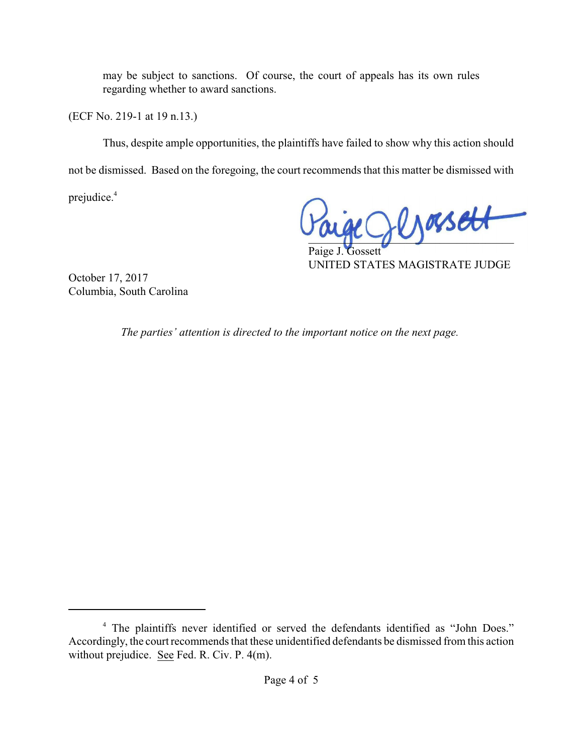may be subject to sanctions. Of course, the court of appeals has its own rules regarding whether to award sanctions.

(ECF No. 219-1 at 19 n.13.)

Thus, despite ample opportunities, the plaintiffs have failed to show why this action should not be dismissed. Based on the foregoing, the court recommends that this matter be dismissed with

prejudice.<sup>4</sup>

 $RQ$ lyossett

Paige J. Gossett UNITED STATES MAGISTRATE JUDGE

October 17, 2017 Columbia, South Carolina

*The parties' attention is directed to the important notice on the next page.* 

<sup>&</sup>lt;sup>4</sup> The plaintiffs never identified or served the defendants identified as "John Does." Accordingly, the court recommends that these unidentified defendants be dismissed from this action without prejudice. See Fed. R. Civ. P. 4(m).